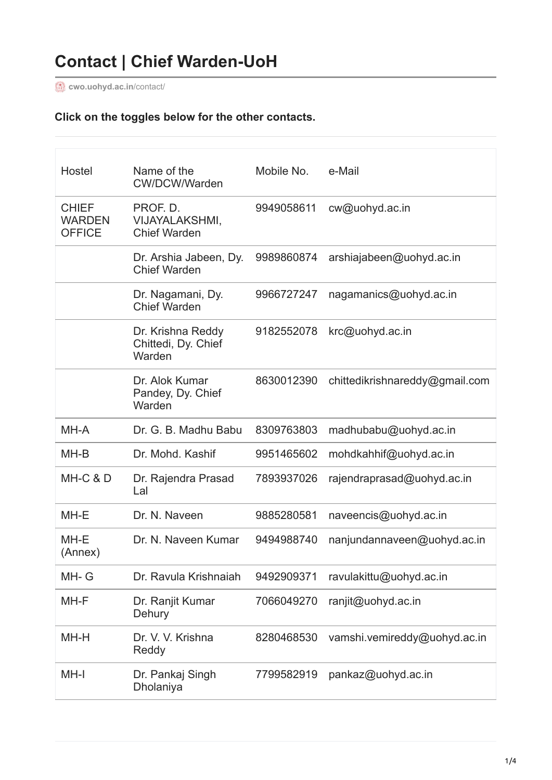**[cwo.uohyd.ac.in](https://cwo.uohyd.ac.in/contact/)**/contact/

# **Click on the toggles below for the other contacts.**

| Hostel                                         | Name of the<br>CW/DCW/Warden                             | Mobile No. | e-Mail                         |
|------------------------------------------------|----------------------------------------------------------|------------|--------------------------------|
| <b>CHIEF</b><br><b>WARDEN</b><br><b>OFFICE</b> | PROF. D.<br><b>VIJAYALAKSHMI,</b><br><b>Chief Warden</b> | 9949058611 | cw@uohyd.ac.in                 |
|                                                | Dr. Arshia Jabeen, Dy.<br><b>Chief Warden</b>            | 9989860874 | arshiajabeen@uohyd.ac.in       |
|                                                | Dr. Nagamani, Dy.<br><b>Chief Warden</b>                 | 9966727247 | nagamanics@uohyd.ac.in         |
|                                                | Dr. Krishna Reddy<br>Chittedi, Dy. Chief<br>Warden       | 9182552078 | krc@uohyd.ac.in                |
|                                                | Dr. Alok Kumar<br>Pandey, Dy. Chief<br>Warden            | 8630012390 | chittedikrishnareddy@gmail.com |
| MH-A                                           | Dr. G. B. Madhu Babu                                     | 8309763803 | madhubabu@uohyd.ac.in          |
| MH-B                                           | Dr. Mohd. Kashif                                         | 9951465602 | mohdkahhif@uohyd.ac.in         |
| MH-C & D                                       | Dr. Rajendra Prasad<br>Lal                               | 7893937026 | rajendraprasad@uohyd.ac.in     |
| MH-E                                           | Dr. N. Naveen                                            | 9885280581 | naveencis@uohyd.ac.in          |
| MH-E<br>(Annex)                                | Dr. N. Naveen Kumar                                      | 9494988740 | nanjundannaveen@uohyd.ac.in    |
| MH-G                                           | Dr. Ravula Krishnaiah                                    | 9492909371 | ravulakittu@uohyd.ac.in        |
| MH-F                                           | Dr. Ranjit Kumar<br>Dehury                               | 7066049270 | ranjit@uohyd.ac.in             |
| MH-H                                           | Dr. V. V. Krishna<br>Reddy                               | 8280468530 | vamshi.vemireddy@uohyd.ac.in   |
| MH-I                                           | Dr. Pankaj Singh<br><b>Dholaniya</b>                     | 7799582919 | pankaz@uohyd.ac.in             |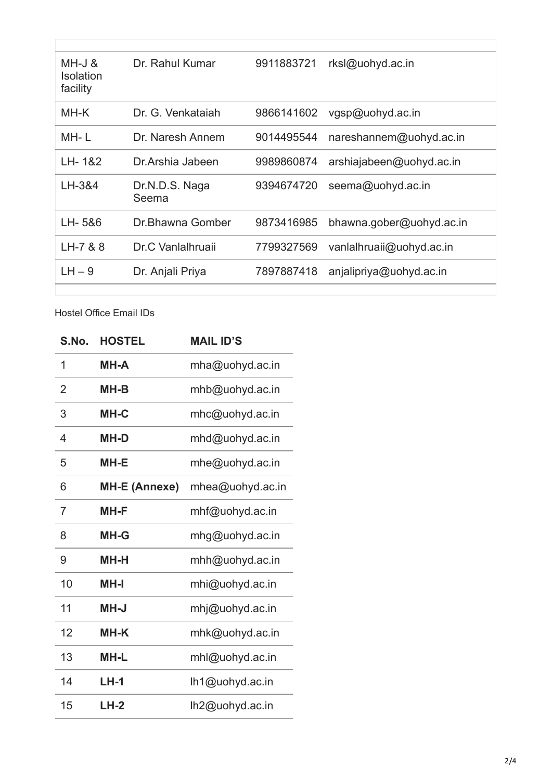| MH-J &<br><b>Isolation</b><br>facility | Dr. Rahul Kumar         | 9911883721 | rksl@uohyd.ac.in         |
|----------------------------------------|-------------------------|------------|--------------------------|
| MH-K                                   | Dr. G. Venkataiah       | 9866141602 | vgsp@uohyd.ac.in         |
| MH-L                                   | Dr. Naresh Annem        | 9014495544 | nareshannem@uohyd.ac.in  |
| LH-1&2                                 | Dr. Arshia Jabeen       | 9989860874 | arshiajabeen@uohyd.ac.in |
| LH-3&4                                 | Dr.N.D.S. Naga<br>Seema | 9394674720 | seema@uohyd.ac.in        |
| LH-5&6                                 | Dr Bhawna Gomber        | 9873416985 | bhawna.gober@uohyd.ac.in |
| LH-7 & 8                               | Dr.C Vanlalhruaii       | 7799327569 | vanlalhruaii@uohyd.ac.in |
| $LH - 9$                               | Dr. Anjali Priya        | 7897887418 | anjalipriya@uohyd.ac.in  |
|                                        |                         |            |                          |

Hostel Office Email IDs

r

| S.No.          | <b>HOSTEL</b>        | <b>MAIL ID'S</b> |
|----------------|----------------------|------------------|
| 1              | <b>MH-A</b>          | mha@uohyd.ac.in  |
| $\overline{2}$ | <b>MH-B</b>          | mhb@uohyd.ac.in  |
| 3              | <b>MH-C</b>          | mhc@uohyd.ac.in  |
| 4              | <b>MH-D</b>          | mhd@uohyd.ac.in  |
| 5              | <b>MH-E</b>          | mhe@uohyd.ac.in  |
| 6              | <b>MH-E (Annexe)</b> | mhea@uohyd.ac.in |
| $\overline{7}$ | <b>MH-F</b>          | mhf@uohyd.ac.in  |
| 8              | <b>MH-G</b>          | mhg@uohyd.ac.in  |
| 9              | <b>MH-H</b>          | mhh@uohyd.ac.in  |
| 10             | <b>MH-I</b>          | mhi@uohyd.ac.in  |
| 11             | <b>MH-J</b>          | mhj@uohyd.ac.in  |
| 12             | <b>MH-K</b>          | mhk@uohyd.ac.in  |
| 13             | <b>MH-L</b>          | mhl@uohyd.ac.in  |
| 14             | <b>LH-1</b>          | lh1@uohyd.ac.in  |
| 15             | $LH-2$               | lh2@uohyd.ac.in  |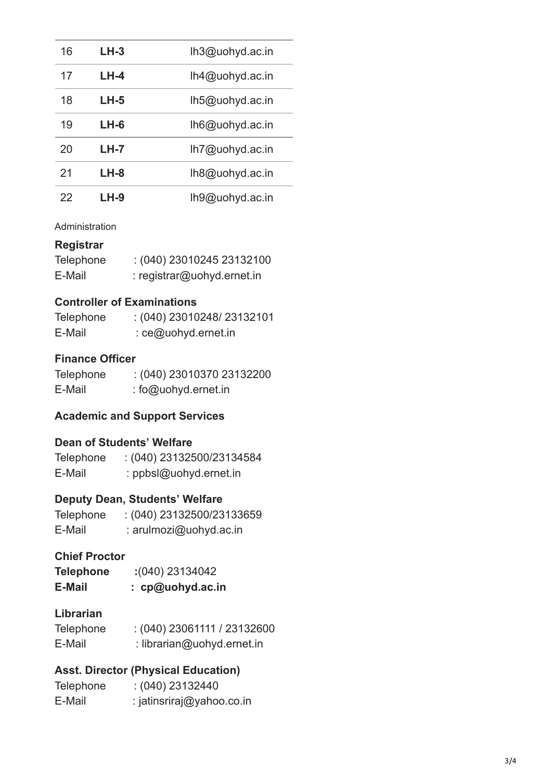| 16 | $LH-3$ | lh3@uohyd.ac.in    |
|----|--------|--------------------|
| 17 | LH-4   | $lh4@$ uohyd.ac.in |
| 18 | LH-5   | $lh5@$ uohyd.ac.in |
| 19 | LH-6   | lh6@uohyd.ac.in    |
| 20 | $LH-7$ | lh7@uohyd.ac.in    |
| 21 | $LH-8$ | lh8@uohyd.ac.in    |
| 22 | $LH-9$ | lh9@uohyd.ac.in    |

#### Administration

#### **Registrar**

| Telephone | $(040)$ 23010245 23132100  |
|-----------|----------------------------|
| E-Mail    | : registrar@uohyd.ernet.in |

### **Controller of Examinations**

| Telephone | $(040)$ 23010248/23132101 |
|-----------|---------------------------|
| E-Mail    | $:$ ce@uohyd.ernet.in     |

### **Finance Officer**

| <b>Telephone</b> | $(040)$ 23010370 23132200 |
|------------------|---------------------------|
| E-Mail           | : fo@uohyd.ernet.in       |

### **Academic and Support Services**

### **Dean of Students' Welfare**

| <b>Telephone</b> | $(040)$ 23132500/23134584 |
|------------------|---------------------------|
| E-Mail           | : ppbsl@uohyd.ernet.in    |

# **Deputy Dean, Students' Welfare**

| <b>Telephone</b> | $(040)$ 23132500/23133659 |
|------------------|---------------------------|
| E-Mail           | : arulmozi@uohyd.ac.in    |

# **Chief Proctor**

| Telephone | : (040) 23134042 |
|-----------|------------------|
| E-Mail    | : cp@uohyd.ac.in |

#### **Librarian**

| Telephone | $(040)$ 23061111 / 23132600 |
|-----------|-----------------------------|
| E-Mail    | : librarian@uohyd.ernet.in  |

# **Asst. Director (Physical Education)**

| <b>Telephone</b> | : (040) 23132440          |
|------------------|---------------------------|
| E-Mail           | : jatinsriraj@yahoo.co.in |